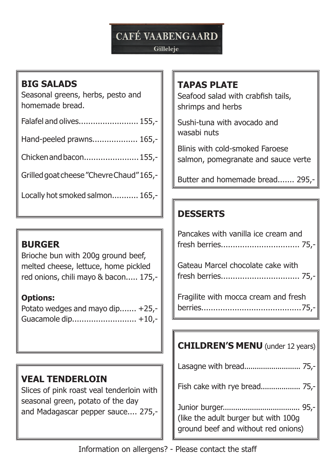# **CAFÉ VAABENGAARD**

#### Gilleleje

### **BIG SALADS**

Seasonal greens, herbs, pesto and homemade bread.

| Falafel and olives 155,- |  |
|--------------------------|--|
|--------------------------|--|

Hand-peeled prawns................... 165,-

Chicken and bacon....................... 155,-

Grilled goat cheese "Chevre Chaud" 165,-

Locally hot smoked salmon........... 165,-

### **BURGER**

Brioche bun with 200g ground beef, melted cheese, lettuce, home pickled red onions, chili mayo & bacon..... 175,-

#### **Options:**

Potato wedges and mayo dip....... +25,- Guacamole dip........................... +10,-

# **VEAL TENDERLOIN**

Slices of pink roast veal tenderloin with seasonal green, potato of the day and Madagascar pepper sauce.... 275,-

### **TAPAS PLATE**

Seafood salad with crabfish tails, shrimps and herbs

Sushi-tuna with avocado and wasabi nuts

Blinis with cold-smoked Faroese salmon, pomegranate and sauce verte

Butter and homemade bread....... 295,-

## **DESSERTS**

| Pancakes with vanilla ice cream and  |
|--------------------------------------|
| Gateau Marcel chocolate cake with    |
| Fragilite with mocca cream and fresh |

# **CHILDREN'S MENU** (under 12 years) Lasagne with bread........................... 75,- Fish cake with rye bread................... 75,- Junior burger..................................... 95,- (like the adult burger but with 100g ground beef and without red onions)